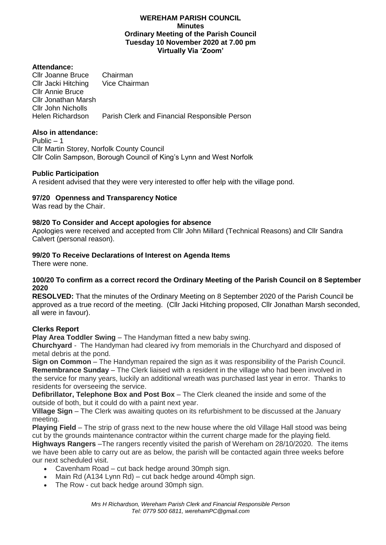## **WEREHAM PARISH COUNCIL Minutes Ordinary Meeting of the Parish Council Tuesday 10 November 2020 at 7.00 pm Virtually Via 'Zoom'**

# **Attendance:**

Cllr Joanne Bruce Chairman<br>Cllr Jacki Hitching Vice Chairman Cllr Jacki Hitching Cllr Annie Bruce Cllr Jonathan Marsh Cllr John Nicholls Helen Richardson Parish Clerk and Financial Responsible Person

# **Also in attendance:**

Public – 1 Cllr Martin Storey, Norfolk County Council Cllr Colin Sampson, Borough Council of King's Lynn and West Norfolk

## **Public Participation**

A resident advised that they were very interested to offer help with the village pond.

## **97/20 Openness and Transparency Notice**

Was read by the Chair.

## **98/20 To Consider and Accept apologies for absence**

Apologies were received and accepted from Cllr John Millard (Technical Reasons) and Cllr Sandra Calvert (personal reason).

## **99/20 To Receive Declarations of Interest on Agenda Items**

There were none.

## **100/20 To confirm as a correct record the Ordinary Meeting of the Parish Council on 8 September 2020**

**RESOLVED:** That the minutes of the Ordinary Meeting on 8 September 2020 of the Parish Council be approved as a true record of the meeting. (Cllr Jacki Hitching proposed, Cllr Jonathan Marsh seconded, all were in favour).

#### **Clerks Report**

**Play Area Toddler Swing** – The Handyman fitted a new baby swing.

**Churchyard** - The Handyman had cleared ivy from memorials in the Churchyard and disposed of metal debris at the pond.

**Sign on Common** – The Handyman repaired the sign as it was responsibility of the Parish Council. **Remembrance Sunday** – The Clerk liaised with a resident in the village who had been involved in the service for many years, luckily an additional wreath was purchased last year in error. Thanks to residents for overseeing the service.

**Defibrillator, Telephone Box and Post Box** – The Clerk cleaned the inside and some of the outside of both, but it could do with a paint next year.

**Village Sign** – The Clerk was awaiting quotes on its refurbishment to be discussed at the January meeting.

**Playing Field** – The strip of grass next to the new house where the old Village Hall stood was being cut by the grounds maintenance contractor within the current charge made for the playing field. **Highways Rangers** –The rangers recently visited the parish of Wereham on 28/10/2020. The items we have been able to carry out are as below, the parish will be contacted again three weeks before

our next scheduled visit.

- Cavenham Road cut back hedge around 30mph sign.
- Main Rd (A134 Lynn Rd) cut back hedge around 40mph sign.
- The Row cut back hedge around 30mph sign.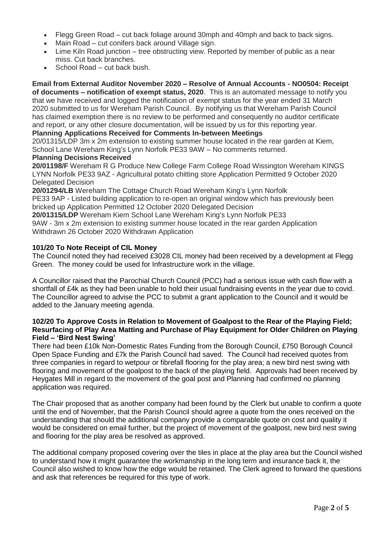- Flegg Green Road cut back foliage around 30mph and 40mph and back to back signs.
- Main Road cut conifers back around Village sign.
- Lime Kiln Road junction tree obstructing view. Reported by member of public as a near miss. Cut back branches.
- School Road cut back bush.

**Email from External Auditor November 2020 – Resolve of Annual Accounts - NO0504: Receipt of documents – notification of exempt status, 2020**. This is an automated message to notify you that we have received and logged the notification of exempt status for the year ended 31 March 2020 submitted to us for Wereham Parish Council. By notifying us that Wereham Parish Council has claimed exemption there is no review to be performed and consequently no auditor certificate and report, or any other closure documentation, will be issued by us for this reporting year.

# **Planning Applications Received for Comments In-between Meetings**

20/01315/LDP 3m x 2m extension to existing summer house located in the rear garden at Kiem, School Lane Wereham King's Lynn Norfolk PE33 9AW – No comments returned.

# **Planning Decisions Received**

**20/01198/F** Wereham R G Produce New College Farm College Road Wissington Wereham KINGS LYNN Norfolk PE33 9AZ - Agricultural potato chitting store Application Permitted 9 October 2020 Delegated Decision

**20/01294/LB** Wereham The Cottage Church Road Wereham King's Lynn Norfolk PE33 9AP - Listed building application to re-open an original window which has previously been bricked up Application Permitted 12 October 2020 Delegated Decision

**20/01315/LDP** Wereham Kiem School Lane Wereham King's Lynn Norfolk PE33 9AW - 3m x 2m extension to existing summer house located in the rear garden Application Withdrawn 26 October 2020 Withdrawn Application

# **101/20 To Note Receipt of CIL Money**

The Council noted they had received £3028 CIL money had been received by a development at Flegg Green. The money could be used for Infrastructure work in the village.

A Councillor raised that the Parochial Church Council (PCC) had a serious issue with cash flow with a shortfall of £4k as they had been unable to hold their usual fundraising events in the year due to covid. The Councillor agreed to advise the PCC to submit a grant application to the Council and it would be added to the January meeting agenda.

## **102/20 To Approve Costs in Relation to Movement of Goalpost to the Rear of the Playing Field; Resurfacing of Play Area Matting and Purchase of Play Equipment for Older Children on Playing Field – 'Bird Nest Swing'**

There had been £10k Non-Domestic Rates Funding from the Borough Council, £750 Borough Council Open Space Funding and £7k the Parish Council had saved. The Council had received quotes from three companies in regard to wetpour or fibrefall flooring for the play area; a new bird nest swing with flooring and movement of the goalpost to the back of the playing field. Approvals had been received by Heygates Mill in regard to the movement of the goal post and Planning had confirmed no planning application was required.

The Chair proposed that as another company had been found by the Clerk but unable to confirm a quote until the end of November, that the Parish Council should agree a quote from the ones received on the understanding that should the additional company provide a comparable quote on cost and quality it would be considered on email further, but the project of movement of the goalpost, new bird nest swing and flooring for the play area be resolved as approved.

The additional company proposed covering over the tiles in place at the play area but the Council wished to understand how it might guarantee the workmanship in the long term and insurance back it, the Council also wished to know how the edge would be retained. The Clerk agreed to forward the questions and ask that references be required for this type of work.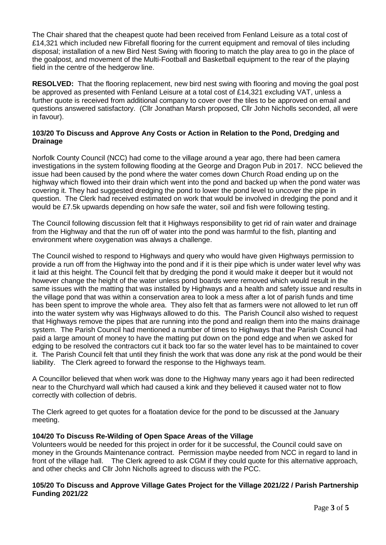The Chair shared that the cheapest quote had been received from Fenland Leisure as a total cost of £14,321 which included new Fibrefall flooring for the current equipment and removal of tiles including disposal; installation of a new Bird Nest Swing with flooring to match the play area to go in the place of the goalpost, and movement of the Multi-Football and Basketball equipment to the rear of the playing field in the centre of the hedgerow line.

**RESOLVED:** That the flooring replacement, new bird nest swing with flooring and moving the goal post be approved as presented with Fenland Leisure at a total cost of £14,321 excluding VAT, unless a further quote is received from additional company to cover over the tiles to be approved on email and questions answered satisfactory. (Cllr Jonathan Marsh proposed, Cllr John Nicholls seconded, all were in favour).

# **103/20 To Discuss and Approve Any Costs or Action in Relation to the Pond, Dredging and Drainage**

Norfolk County Council (NCC) had come to the village around a year ago, there had been camera investigations in the system following flooding at the George and Dragon Pub in 2017. NCC believed the issue had been caused by the pond where the water comes down Church Road ending up on the highway which flowed into their drain which went into the pond and backed up when the pond water was covering it. They had suggested dredging the pond to lower the pond level to uncover the pipe in question. The Clerk had received estimated on work that would be involved in dredging the pond and it would be £7.5k upwards depending on how safe the water, soil and fish were following testing.

The Council following discussion felt that it Highways responsibility to get rid of rain water and drainage from the Highway and that the run off of water into the pond was harmful to the fish, planting and environment where oxygenation was always a challenge.

The Council wished to respond to Highways and query who would have given Highways permission to provide a run off from the Highway into the pond and if it is their pipe which is under water level why was it laid at this height. The Council felt that by dredging the pond it would make it deeper but it would not however change the height of the water unless pond boards were removed which would result in the same issues with the matting that was installed by Highways and a health and safety issue and results in the village pond that was within a conservation area to look a mess after a lot of parish funds and time has been spent to improve the whole area. They also felt that as farmers were not allowed to let run off into the water system why was Highways allowed to do this. The Parish Council also wished to request that Highways remove the pipes that are running into the pond and realign them into the mains drainage system. The Parish Council had mentioned a number of times to Highways that the Parish Council had paid a large amount of money to have the matting put down on the pond edge and when we asked for edging to be resolved the contractors cut it back too far so the water level has to be maintained to cover it. The Parish Council felt that until they finish the work that was done any risk at the pond would be their liability. The Clerk agreed to forward the response to the Highways team.

A Councillor believed that when work was done to the Highway many years ago it had been redirected near to the Churchyard wall which had caused a kink and they believed it caused water not to flow correctly with collection of debris.

The Clerk agreed to get quotes for a floatation device for the pond to be discussed at the January meeting.

# **104/20 To Discuss Re-Wilding of Open Space Areas of the Village**

Volunteers would be needed for this project in order for it be successful, the Council could save on money in the Grounds Maintenance contract. Permission maybe needed from NCC in regard to land in front of the village hall. The Clerk agreed to ask CGM if they could quote for this alternative approach, and other checks and Cllr John Nicholls agreed to discuss with the PCC.

# **105/20 To Discuss and Approve Village Gates Project for the Village 2021/22 / Parish Partnership Funding 2021/22**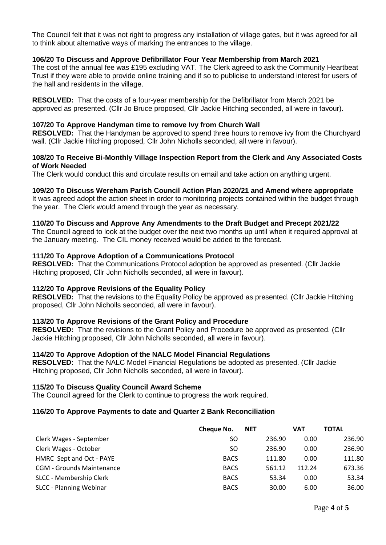The Council felt that it was not right to progress any installation of village gates, but it was agreed for all to think about alternative ways of marking the entrances to the village.

## **106/20 To Discuss and Approve Defibrillator Four Year Membership from March 2021**

The cost of the annual fee was £195 excluding VAT. The Clerk agreed to ask the Community Heartbeat Trust if they were able to provide online training and if so to publicise to understand interest for users of the hall and residents in the village.

**RESOLVED:** That the costs of a four-year membership for the Defibrillator from March 2021 be approved as presented. (Cllr Jo Bruce proposed, Cllr Jackie Hitching seconded, all were in favour).

### **107/20 To Approve Handyman time to remove Ivy from Church Wall**

**RESOLVED:** That the Handyman be approved to spend three hours to remove ivy from the Churchyard wall. (Cllr Jackie Hitching proposed, Cllr John Nicholls seconded, all were in favour).

## **108/20 To Receive Bi-Monthly Village Inspection Report from the Clerk and Any Associated Costs of Work Needed**

The Clerk would conduct this and circulate results on email and take action on anything urgent.

## **109/20 To Discuss Wereham Parish Council Action Plan 2020/21 and Amend where appropriate**

It was agreed adopt the action sheet in order to monitoring projects contained within the budget through the year. The Clerk would amend through the year as necessary.

#### **110/20 To Discuss and Approve Any Amendments to the Draft Budget and Precept 2021/22**

The Council agreed to look at the budget over the next two months up until when it required approval at the January meeting. The CIL money received would be added to the forecast.

## **111/20 To Approve Adoption of a Communications Protocol**

**RESOLVED:** That the Communications Protocol adoption be approved as presented. (Cllr Jackie Hitching proposed, Cllr John Nicholls seconded, all were in favour).

#### **112/20 To Approve Revisions of the Equality Policy**

**RESOLVED:** That the revisions to the Equality Policy be approved as presented. (Cllr Jackie Hitching proposed, Cllr John Nicholls seconded, all were in favour).

#### **113/20 To Approve Revisions of the Grant Policy and Procedure**

**RESOLVED:** That the revisions to the Grant Policy and Procedure be approved as presented. (Cllr Jackie Hitching proposed, Cllr John Nicholls seconded, all were in favour).

#### **114/20 To Approve Adoption of the NALC Model Financial Regulations**

**RESOLVED:** That the NALC Model Financial Regulations be adopted as presented. (Cllr Jackie Hitching proposed, Cllr John Nicholls seconded, all were in favour).

#### **115/20 To Discuss Quality Council Award Scheme**

The Council agreed for the Clerk to continue to progress the work required.

#### **116/20 To Approve Payments to date and Quarter 2 Bank Reconciliation**

|                                  | Cheque No.  | <b>NET</b> |        | <b>VAT</b> | <b>TOTAL</b> |
|----------------------------------|-------------|------------|--------|------------|--------------|
| Clerk Wages - September          | SO          |            | 236.90 | 0.00       | 236.90       |
| Clerk Wages - October            | SO          |            | 236.90 | 0.00       | 236.90       |
| HMRC Sept and Oct - PAYE         | <b>BACS</b> |            | 111.80 | 0.00       | 111.80       |
| <b>CGM - Grounds Maintenance</b> | <b>BACS</b> |            | 561.12 | 112.24     | 673.36       |
| SLCC - Membership Clerk          | <b>BACS</b> |            | 53.34  | 0.00       | 53.34        |
| <b>SLCC - Planning Webinar</b>   | <b>BACS</b> |            | 30.00  | 6.00       | 36.00        |